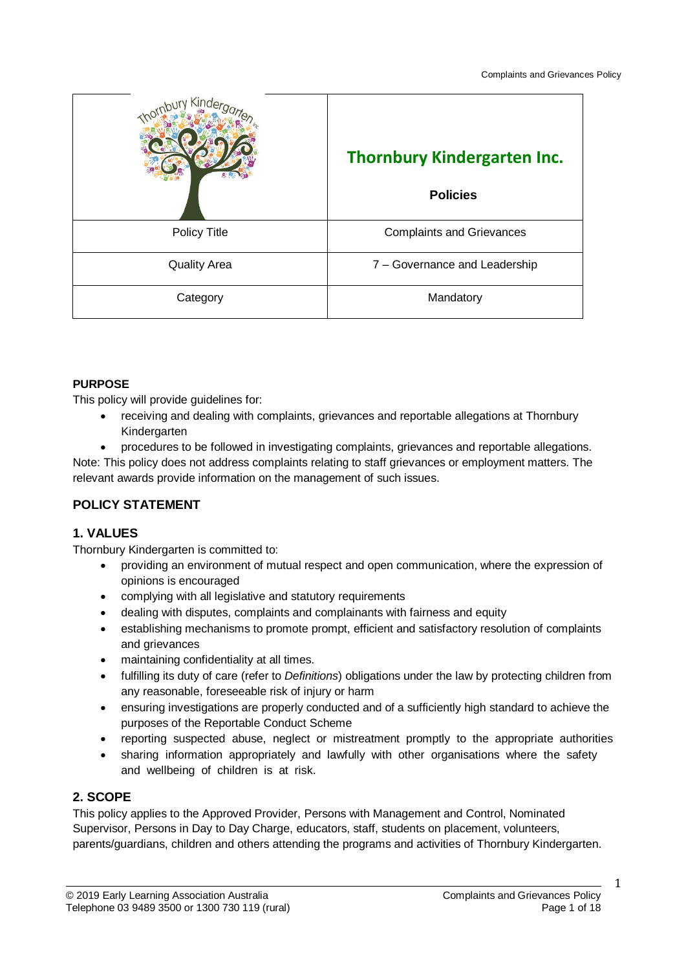| Kinde               | <b>Thornbury Kindergarten Inc.</b><br><b>Policies</b> |
|---------------------|-------------------------------------------------------|
| Policy Title        | <b>Complaints and Grievances</b>                      |
| <b>Quality Area</b> | 7 - Governance and Leadership                         |
| Category            | Mandatory                                             |

### **PURPOSE**

This policy will provide guidelines for:

- receiving and dealing with complaints, grievances and reportable allegations at Thornbury Kindergarten
- procedures to be followed in investigating complaints, grievances and reportable allegations.

Note: This policy does not address complaints relating to staff grievances or employment matters. The relevant awards provide information on the management of such issues.

### **POLICY STATEMENT**

### **1. VALUES**

Thornbury Kindergarten is committed to:

- providing an environment of mutual respect and open communication, where the expression of opinions is encouraged
- complying with all legislative and statutory requirements
- dealing with disputes, complaints and complainants with fairness and equity
- establishing mechanisms to promote prompt, efficient and satisfactory resolution of complaints and grievances
- maintaining confidentiality at all times.
- fulfilling its duty of care (refer to *Definitions*) obligations under the law by protecting children from any reasonable, foreseeable risk of injury or harm
- ensuring investigations are properly conducted and of a sufficiently high standard to achieve the purposes of the Reportable Conduct Scheme
- reporting suspected abuse, neglect or mistreatment promptly to the appropriate authorities
- sharing information appropriately and lawfully with other organisations where the safety and wellbeing of children is at risk.

### **2. SCOPE**

This policy applies to the Approved Provider, Persons with Management and Control, Nominated Supervisor, Persons in Day to Day Charge, educators, staff, students on placement, volunteers, parents/guardians, children and others attending the programs and activities of Thornbury Kindergarten.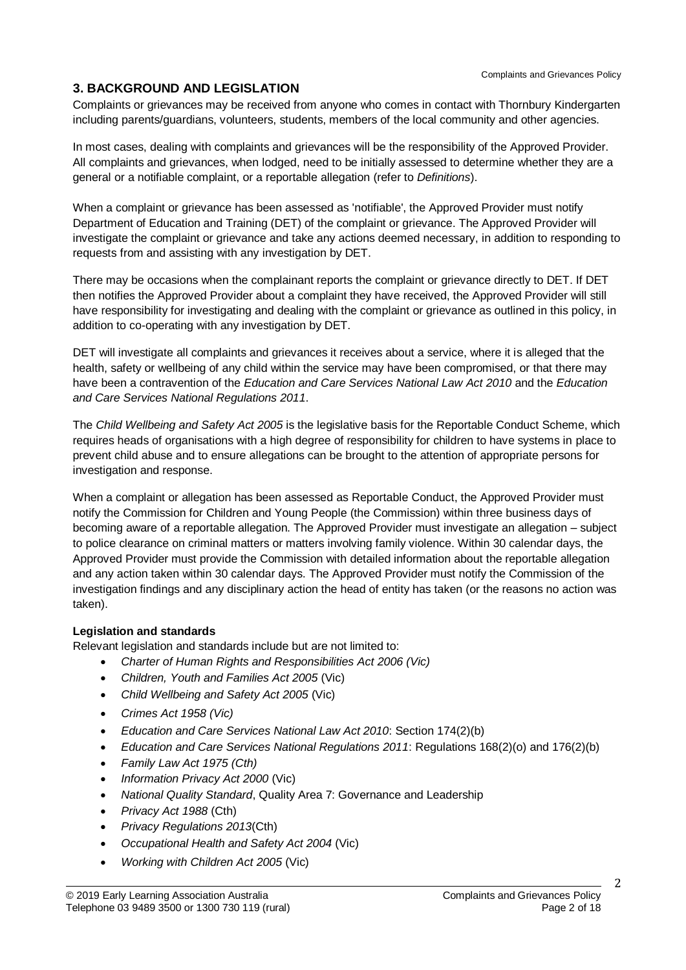### **3. BACKGROUND AND LEGISLATION**

Complaints or grievances may be received from anyone who comes in contact with Thornbury Kindergarten including parents/guardians, volunteers, students, members of the local community and other agencies.

In most cases, dealing with complaints and grievances will be the responsibility of the Approved Provider. All complaints and grievances, when lodged, need to be initially assessed to determine whether they are a general or a notifiable complaint, or a reportable allegation (refer to *Definitions*).

When a complaint or grievance has been assessed as 'notifiable', the Approved Provider must notify Department of Education and Training (DET) of the complaint or grievance. The Approved Provider will investigate the complaint or grievance and take any actions deemed necessary, in addition to responding to requests from and assisting with any investigation by DET.

There may be occasions when the complainant reports the complaint or grievance directly to DET. If DET then notifies the Approved Provider about a complaint they have received, the Approved Provider will still have responsibility for investigating and dealing with the complaint or grievance as outlined in this policy, in addition to co-operating with any investigation by DET.

DET will investigate all complaints and grievances it receives about a service, where it is alleged that the health, safety or wellbeing of any child within the service may have been compromised, or that there may have been a contravention of the *Education and Care Services National Law Act 2010* and the *Education and Care Services National Regulations 2011*.

The *Child Wellbeing and Safety Act 2005* is the legislative basis for the Reportable Conduct Scheme, which requires heads of organisations with a high degree of responsibility for children to have systems in place to prevent child abuse and to ensure allegations can be brought to the attention of appropriate persons for investigation and response.

When a complaint or allegation has been assessed as Reportable Conduct, the Approved Provider must notify the Commission for Children and Young People (the Commission) within three business days of becoming aware of a reportable allegation. The Approved Provider must investigate an allegation – subject to police clearance on criminal matters or matters involving family violence. Within 30 calendar days, the Approved Provider must provide the Commission with detailed information about the reportable allegation and any action taken within 30 calendar days. The Approved Provider must notify the Commission of the investigation findings and any disciplinary action the head of entity has taken (or the reasons no action was taken).

### **Legislation and standards**

Relevant legislation and standards include but are not limited to:

- *Charter of Human Rights and Responsibilities Act 2006 (Vic)*
- *Children, Youth and Families Act 2005* (Vic)
- *Child Wellbeing and Safety Act 2005* (Vic)
- *Crimes Act 1958 (Vic)*
- *Education and Care Services National Law Act 2010*: Section 174(2)(b)
- *Education and Care Services National Regulations 2011*: Regulations 168(2)(o) and 176(2)(b)
- *Family Law Act 1975 (Cth)*
- *Information Privacy Act 2000* (Vic)
- *National Quality Standard*, Quality Area 7: Governance and Leadership
- *Privacy Act 1988* (Cth)
- *Privacy Regulations 2013*(Cth)
- *Occupational Health and Safety Act 2004* (Vic)
- *Working with Children Act 2005* (Vic)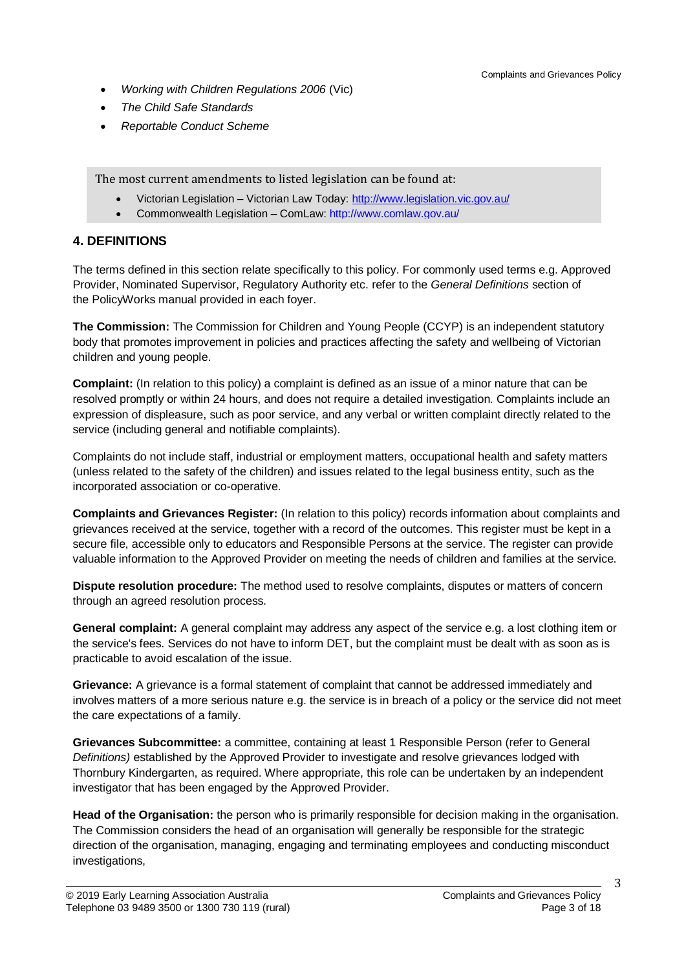- *Working with Children Regulations 2006* (Vic)
- *The Child Safe Standards*
- *Reportable Conduct Scheme*

The most current amendments to listed legislation can be found at:

- Victorian Legislation Victorian Law Today:<http://www.legislation.vic.gov.au/>
- Commonwealth Legislation ComLaw:<http://www.comlaw.gov.au/>

### **4. DEFINITIONS**

The terms defined in this section relate specifically to this policy. For commonly used terms e.g. Approved Provider, Nominated Supervisor, Regulatory Authority etc. refer to the *General Definitions* section of the PolicyWorks manual provided in each foyer.

**The Commission:** The Commission for Children and Young People (CCYP) is an independent statutory body that promotes improvement in policies and practices affecting the safety and wellbeing of Victorian children and young people.

**Complaint:** (In relation to this policy) a complaint is defined as an issue of a minor nature that can be resolved promptly or within 24 hours, and does not require a detailed investigation. Complaints include an expression of displeasure, such as poor service, and any verbal or written complaint directly related to the service (including general and notifiable complaints).

Complaints do not include staff, industrial or employment matters, occupational health and safety matters (unless related to the safety of the children) and issues related to the legal business entity, such as the incorporated association or co-operative.

**Complaints and Grievances Register:** (In relation to this policy) records information about complaints and grievances received at the service, together with a record of the outcomes. This register must be kept in a secure file, accessible only to educators and Responsible Persons at the service. The register can provide valuable information to the Approved Provider on meeting the needs of children and families at the service.

**Dispute resolution procedure:** The method used to resolve complaints, disputes or matters of concern through an agreed resolution process.

**General complaint:** A general complaint may address any aspect of the service e.g. a lost clothing item or the service's fees. Services do not have to inform DET, but the complaint must be dealt with as soon as is practicable to avoid escalation of the issue.

**Grievance:** A grievance is a formal statement of complaint that cannot be addressed immediately and involves matters of a more serious nature e.g. the service is in breach of a policy or the service did not meet the care expectations of a family.

**Grievances Subcommittee:** a committee, containing at least 1 Responsible Person (refer to General *Definitions)* established by the Approved Provider to investigate and resolve grievances lodged with Thornbury Kindergarten, as required. Where appropriate, this role can be undertaken by an independent investigator that has been engaged by the Approved Provider.

**Head of the Organisation:** the person who is primarily responsible for decision making in the organisation. The Commission considers the head of an organisation will generally be responsible for the strategic direction of the organisation, managing, engaging and terminating employees and conducting misconduct investigations,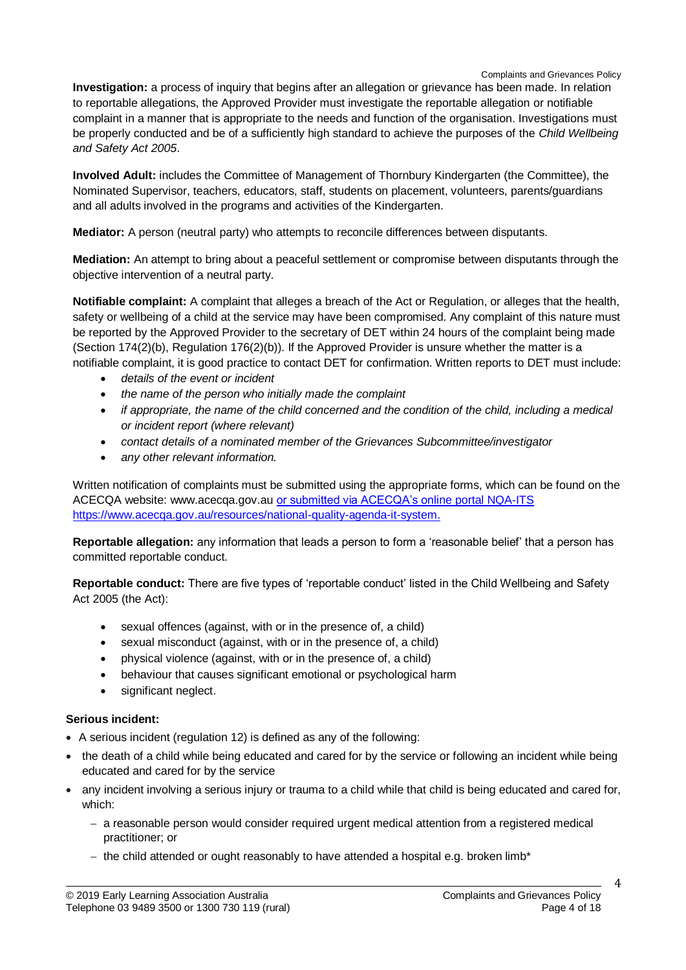**Investigation:** a process of inquiry that begins after an allegation or grievance has been made. In relation to reportable allegations, the Approved Provider must investigate the reportable allegation or notifiable complaint in a manner that is appropriate to the needs and function of the organisation. Investigations must be properly conducted and be of a sufficiently high standard to achieve the purposes of the *Child Wellbeing and Safety Act 2005*.

**Involved Adult:** includes the Committee of Management of Thornbury Kindergarten (the Committee), the Nominated Supervisor, teachers, educators, staff, students on placement, volunteers, parents/guardians and all adults involved in the programs and activities of the Kindergarten.

**Mediator:** A person (neutral party) who attempts to reconcile differences between disputants.

**Mediation:** An attempt to bring about a peaceful settlement or compromise between disputants through the objective intervention of a neutral party.

**Notifiable complaint:** A complaint that alleges a breach of the Act or Regulation, or alleges that the health, safety or wellbeing of a child at the service may have been compromised. Any complaint of this nature must be reported by the Approved Provider to the secretary of DET within 24 hours of the complaint being made (Section 174(2)(b), Regulation 176(2)(b)). If the Approved Provider is unsure whether the matter is a notifiable complaint, it is good practice to contact DET for confirmation. Written reports to DET must include:

- *details of the event or incident*
- *the name of the person who initially made the complaint*
- *if appropriate, the name of the child concerned and the condition of the child, including a medical or incident report (where relevant)*
- *contact details of a nominated member of the Grievances Subcommittee/investigator*
- *any other relevant information.*

Written notification of complaints must be submitted using the appropriate forms, which can be found on the ACECQA website: [www.acecqa.gov.au](http://www.acecqa.gov.au/) or submitted via ACECQA's online portal NQA-ITS [https://www.acecqa.gov.au/resources/national-quality-agenda-it-system.](https://www.acecqa.gov.au/resources/national-quality-agenda-it-system)

**Reportable allegation:** any information that leads a person to form a 'reasonable belief' that a person has committed reportable conduct.

**Reportable conduct:** There are five types of 'reportable conduct' listed in the Child Wellbeing and Safety Act 2005 (the Act):

- sexual offences (against, with or in the presence of, a child)
- sexual misconduct (against, with or in the presence of, a child)
- physical violence (against, with or in the presence of, a child)
- behaviour that causes significant emotional or psychological harm
- significant neglect.

### **Serious incident:**

- A serious incident (regulation 12) is defined as any of the following:
- the death of a child while being educated and cared for by the service or following an incident while being educated and cared for by the service
- any incident involving a serious injury or trauma to a child while that child is being educated and cared for, which:
	- a reasonable person would consider required urgent medical attention from a registered medical practitioner; or
	- the child attended or ought reasonably to have attended a hospital e.g. broken limb\*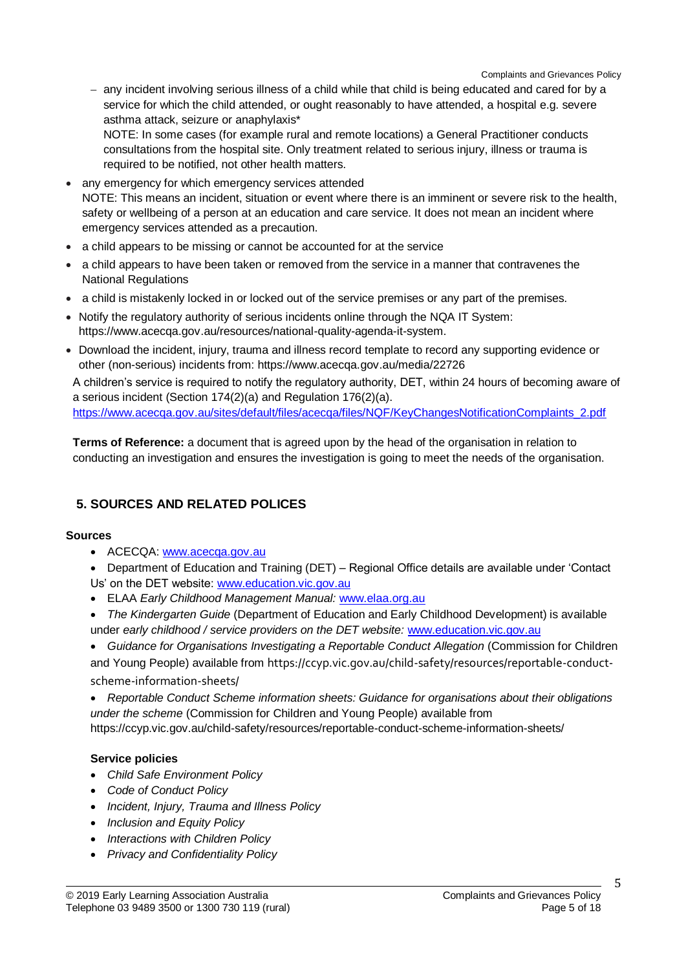- any incident involving serious illness of a child while that child is being educated and cared for by a service for which the child attended, or ought reasonably to have attended, a hospital e.g. severe asthma attack, seizure or anaphylaxis\*

NOTE: In some cases (for example rural and remote locations) a General Practitioner conducts consultations from the hospital site. Only treatment related to serious injury, illness or trauma is required to be notified, not other health matters.

- any emergency for which emergency services attended NOTE: This means an incident, situation or event where there is an imminent or severe risk to the health, safety or wellbeing of a person at an education and care service. It does not mean an incident where emergency services attended as a precaution.
- a child appears to be missing or cannot be accounted for at the service
- a child appears to have been taken or removed from the service in a manner that contravenes the National Regulations
- a child is mistakenly locked in or locked out of the service premises or any part of the premises.
- Notify the regulatory authority of serious incidents online through the NQA IT System: https://www.acecqa.gov.au/resources/national-quality-agenda-it-system.
- Download the incident, injury, trauma and illness record template to record any supporting evidence or other (non-serious) incidents from: https://www.acecqa.gov.au/media/22726

A children's service is required to notify the regulatory authority, DET, within 24 hours of becoming aware of a serious incident (Section 174(2)(a) and Regulation 176(2)(a).

[https://www.acecqa.gov.au/sites/default/files/acecqa/files/NQF/KeyChangesNotificationComplaints\\_2.pdf](https://www.acecqa.gov.au/sites/default/files/acecqa/files/NQF/KeyChangesNotificationComplaints_2.pdf)

**Terms of Reference:** a document that is agreed upon by the head of the organisation in relation to conducting an investigation and ensures the investigation is going to meet the needs of the organisation.

### **5. SOURCES AND RELATED POLICES**

#### **Sources**

- ACECQA: [www.acecqa.gov.au](http://www.acecqa.gov.au/)
- Department of Education and Training (DET) Regional Office details are available under 'Contact Us' on the DET website: [www.education.vic.gov.au](http://www.education.vic.gov.au/)
- ELAA *Early Childhood Management Manual:* [www.elaa.org.au](http://www.elaa.org.au/)
- *The Kindergarten Guide* (Department of Education and Early Childhood Development) is available under *early childhood / service providers on the DET website:* [www.education.vic.gov.au](http://www.education.vic.gov.au/)
- *Guidance for Organisations Investigating a Reportable Conduct Allegation* (Commission for Children and Young People) available from [https://ccyp.vic.gov.au/child-safety/resources/reportable-conduct](https://ccyp.vic.gov.au/child-safety/resources/reportable-conduct-scheme-information-sheets/)[scheme-information-sheets/](https://ccyp.vic.gov.au/child-safety/resources/reportable-conduct-scheme-information-sheets/)

 *Reportable Conduct Scheme information sheets: Guidance for organisations about their obligations under the scheme* (Commission for Children and Young People) available from

https://ccyp.vic.gov.au/child-safety/resources/reportable-conduct-scheme-information-sheets/

### **Service policies**

- *Child Safe Environment Policy*
- *Code of Conduct Policy*
- *Incident, Injury, Trauma and Illness Policy*
- *Inclusion and Equity Policy*
- *Interactions with Children Policy*
- *Privacy and Confidentiality Policy*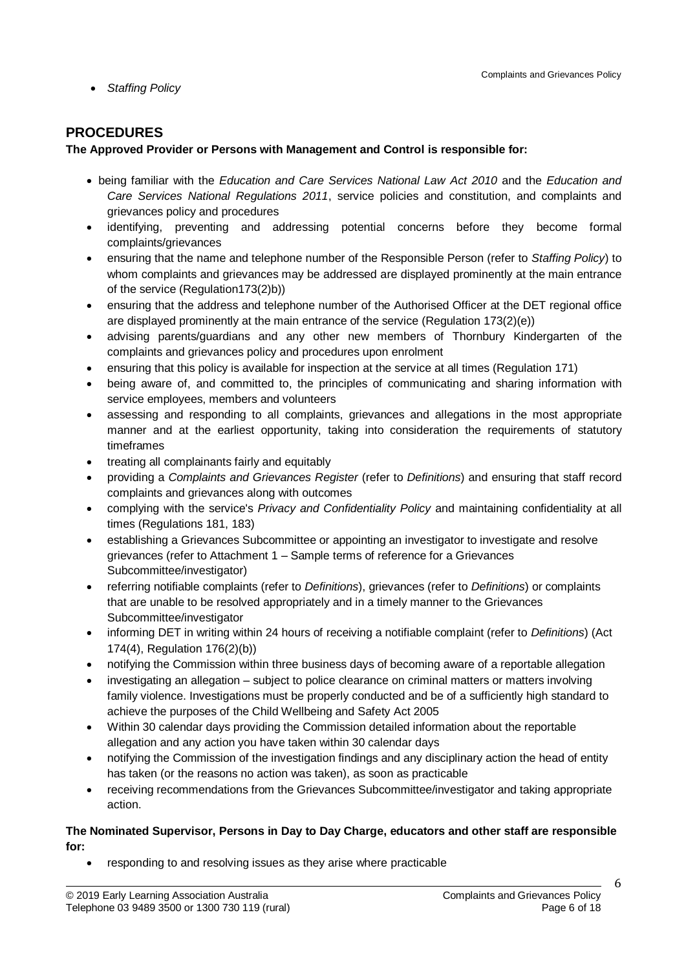*Staffing Policy*

### **PROCEDURES**

### **The Approved Provider or Persons with Management and Control is responsible for:**

- being familiar with the *Education and Care Services National Law Act 2010* and the *Education and Care Services National Regulations 2011*, service policies and constitution, and complaints and grievances policy and procedures
- identifying, preventing and addressing potential concerns before they become formal complaints/grievances
- ensuring that the name and telephone number of the Responsible Person (refer to *Staffing Policy*) to whom complaints and grievances may be addressed are displayed prominently at the main entrance of the service (Regulation173(2)b))
- ensuring that the address and telephone number of the Authorised Officer at the DET regional office are displayed prominently at the main entrance of the service (Regulation 173(2)(e))
- advising parents/guardians and any other new members of Thornbury Kindergarten of the complaints and grievances policy and procedures upon enrolment
- ensuring that this policy is available for inspection at the service at all times (Regulation 171)
- being aware of, and committed to, the principles of communicating and sharing information with service employees, members and volunteers
- assessing and responding to all complaints, grievances and allegations in the most appropriate manner and at the earliest opportunity, taking into consideration the requirements of statutory timeframes
- treating all complainants fairly and equitably
- providing a *Complaints and Grievances Register* (refer to *Definitions*) and ensuring that staff record complaints and grievances along with outcomes
- complying with the service's *Privacy and Confidentiality Policy* and maintaining confidentiality at all times (Regulations 181, 183)
- establishing a Grievances Subcommittee or appointing an investigator to investigate and resolve grievances (refer to Attachment 1 – Sample terms of reference for a Grievances Subcommittee/investigator)
- referring notifiable complaints (refer to *Definitions*), grievances (refer to *Definitions*) or complaints that are unable to be resolved appropriately and in a timely manner to the Grievances Subcommittee/investigator
- informing DET in writing within 24 hours of receiving a notifiable complaint (refer to *Definitions*) (Act 174(4), Regulation 176(2)(b))
- notifying the Commission within three business days of becoming aware of a reportable allegation
- investigating an allegation subject to police clearance on criminal matters or matters involving family violence. Investigations must be properly conducted and be of a sufficiently high standard to achieve the purposes of the Child Wellbeing and Safety Act 2005
- Within 30 calendar days providing the Commission detailed information about the reportable allegation and any action you have taken within 30 calendar days
- notifying the Commission of the investigation findings and any disciplinary action the head of entity has taken (or the reasons no action was taken), as soon as practicable
- receiving recommendations from the Grievances Subcommittee/investigator and taking appropriate action.

#### **The Nominated Supervisor, Persons in Day to Day Charge, educators and other staff are responsible for:**

responding to and resolving issues as they arise where practicable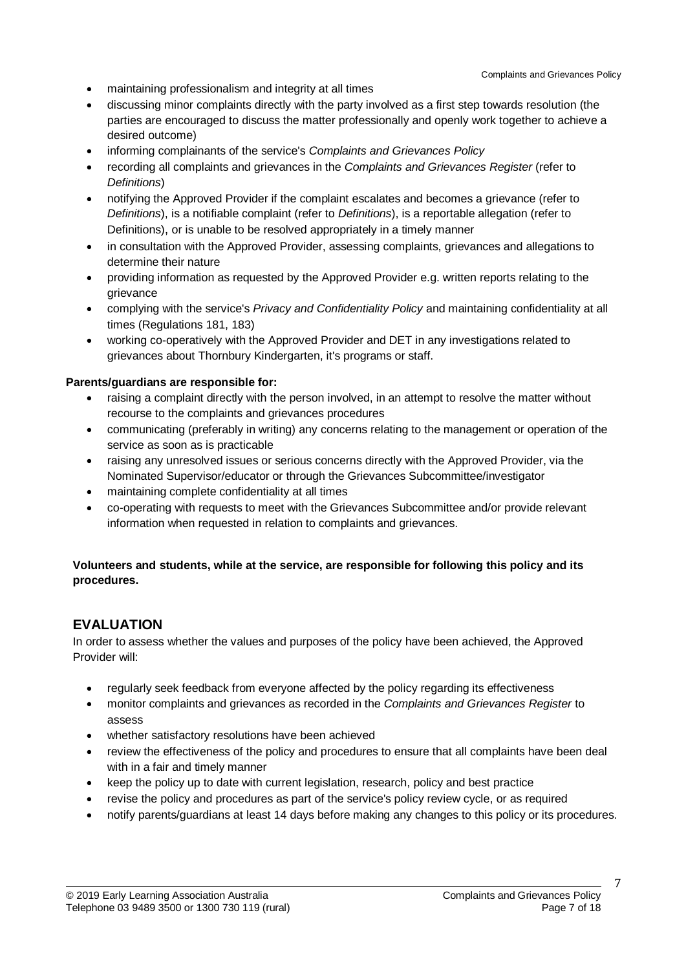- maintaining professionalism and integrity at all times
- discussing minor complaints directly with the party involved as a first step towards resolution (the parties are encouraged to discuss the matter professionally and openly work together to achieve a desired outcome)
- informing complainants of the service's *Complaints and Grievances Policy*
- recording all complaints and grievances in the *Complaints and Grievances Register* (refer to *Definitions*)
- notifying the Approved Provider if the complaint escalates and becomes a grievance (refer to *Definitions*), is a notifiable complaint (refer to *Definitions*), is a reportable allegation (refer to Definitions), or is unable to be resolved appropriately in a timely manner
- in consultation with the Approved Provider, assessing complaints, grievances and allegations to determine their nature
- providing information as requested by the Approved Provider e.g. written reports relating to the grievance
- complying with the service's *Privacy and Confidentiality Policy* and maintaining confidentiality at all times (Regulations 181, 183)
- working co-operatively with the Approved Provider and DET in any investigations related to grievances about Thornbury Kindergarten, it's programs or staff.

#### **Parents/guardians are responsible for:**

- raising a complaint directly with the person involved, in an attempt to resolve the matter without recourse to the complaints and grievances procedures
- communicating (preferably in writing) any concerns relating to the management or operation of the service as soon as is practicable
- raising any unresolved issues or serious concerns directly with the Approved Provider, via the Nominated Supervisor/educator or through the Grievances Subcommittee/investigator
- maintaining complete confidentiality at all times
- co-operating with requests to meet with the Grievances Subcommittee and/or provide relevant information when requested in relation to complaints and grievances.

### **Volunteers and students, while at the service, are responsible for following this policy and its procedures.**

### **EVALUATION**

In order to assess whether the values and purposes of the policy have been achieved, the Approved Provider will:

- regularly seek feedback from everyone affected by the policy regarding its effectiveness
- monitor complaints and grievances as recorded in the *Complaints and Grievances Register* to assess
- whether satisfactory resolutions have been achieved
- review the effectiveness of the policy and procedures to ensure that all complaints have been deal with in a fair and timely manner
- keep the policy up to date with current legislation, research, policy and best practice
- revise the policy and procedures as part of the service's policy review cycle, or as required
- notify parents/guardians at least 14 days before making any changes to this policy or its procedures.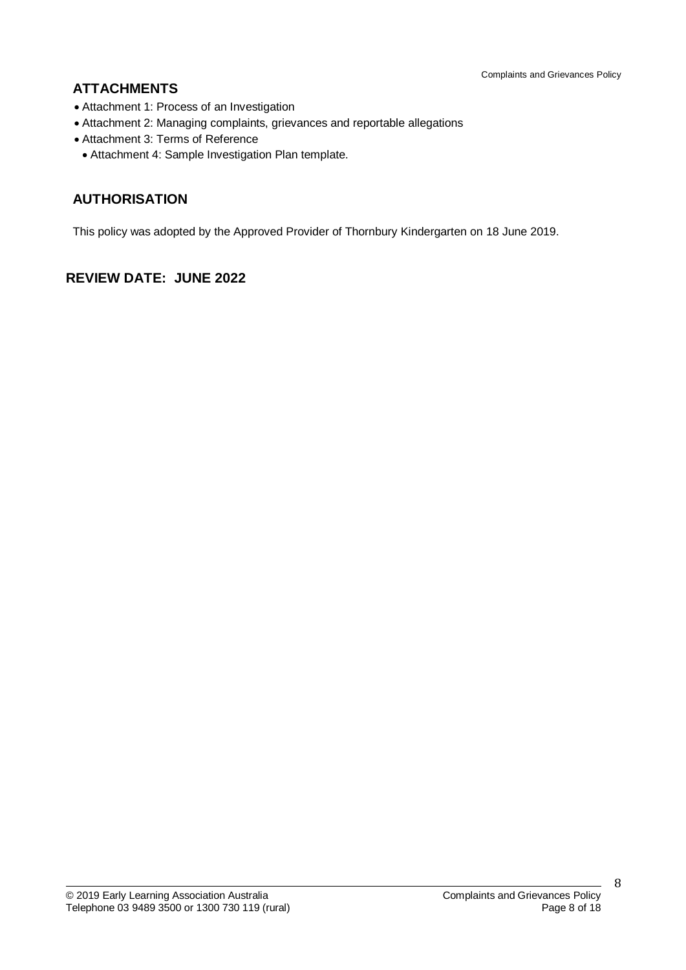# **ATTACHMENTS**

- Attachment 1: Process of an Investigation
- Attachment 2: Managing complaints, grievances and reportable allegations
- Attachment 3: Terms of Reference
- Attachment 4: Sample Investigation Plan template.

# **AUTHORISATION**

This policy was adopted by the Approved Provider of Thornbury Kindergarten on 18 June 2019.

### **REVIEW DATE: JUNE 2022**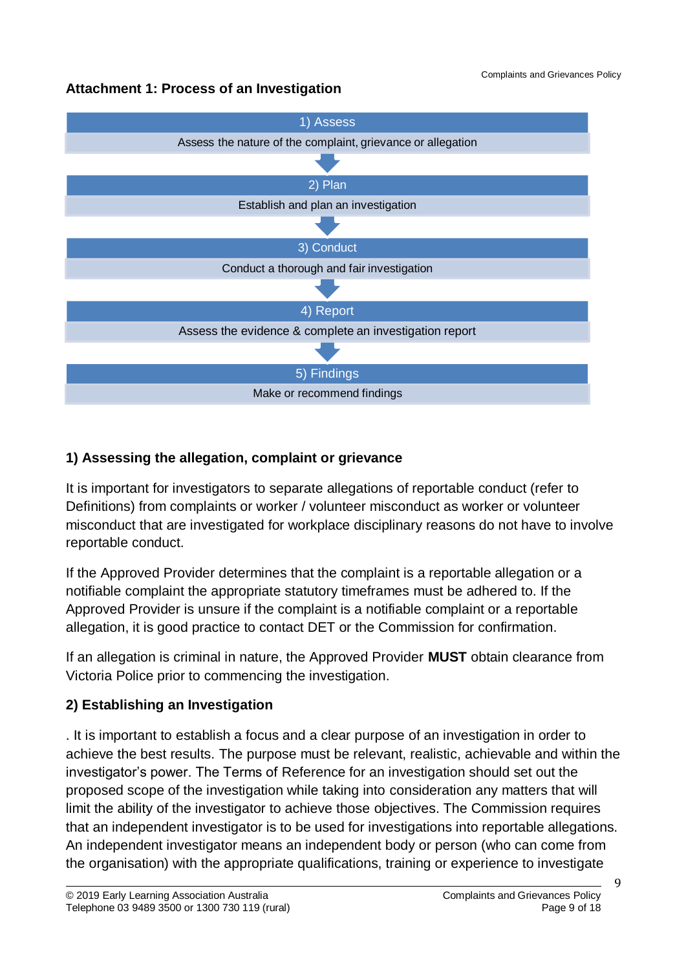# **Attachment 1: Process of an Investigation**



# **1) Assessing the allegation, complaint or grievance**

It is important for investigators to separate allegations of reportable conduct (refer to Definitions) from complaints or worker / volunteer misconduct as worker or volunteer misconduct that are investigated for workplace disciplinary reasons do not have to involve reportable conduct.

If the Approved Provider determines that the complaint is a reportable allegation or a notifiable complaint the appropriate statutory timeframes must be adhered to. If the Approved Provider is unsure if the complaint is a notifiable complaint or a reportable allegation, it is good practice to contact DET or the Commission for confirmation.

If an allegation is criminal in nature, the Approved Provider **MUST** obtain clearance from Victoria Police prior to commencing the investigation.

# **2) Establishing an Investigation**

. It is important to establish a focus and a clear purpose of an investigation in order to achieve the best results. The purpose must be relevant, realistic, achievable and within the investigator's power. The Terms of Reference for an investigation should set out the proposed scope of the investigation while taking into consideration any matters that will limit the ability of the investigator to achieve those objectives. The Commission requires that an independent investigator is to be used for investigations into reportable allegations. An independent investigator means an independent body or person (who can come from the organisation) with the appropriate qualifications, training or experience to investigate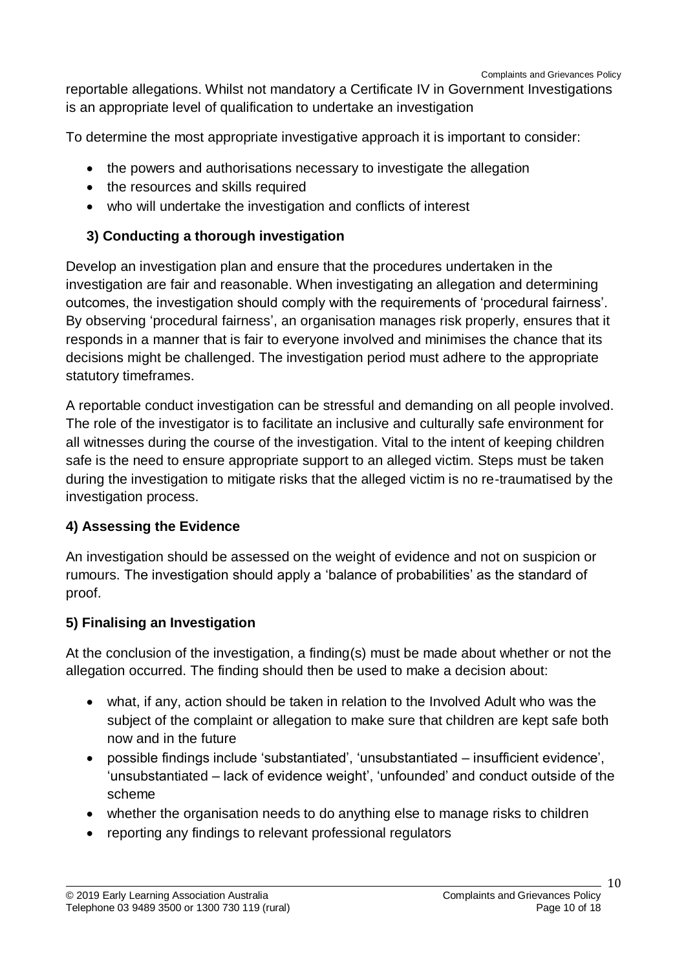reportable allegations. Whilst not mandatory a Certificate IV in Government Investigations is an appropriate level of qualification to undertake an investigation

To determine the most appropriate investigative approach it is important to consider:

- the powers and authorisations necessary to investigate the allegation
- the resources and skills required
- who will undertake the investigation and conflicts of interest

# **3) Conducting a thorough investigation**

Develop an investigation plan and ensure that the procedures undertaken in the investigation are fair and reasonable. When investigating an allegation and determining outcomes, the investigation should comply with the requirements of 'procedural fairness'. By observing 'procedural fairness', an organisation manages risk properly, ensures that it responds in a manner that is fair to everyone involved and minimises the chance that its decisions might be challenged. The investigation period must adhere to the appropriate statutory timeframes.

A reportable conduct investigation can be stressful and demanding on all people involved. The role of the investigator is to facilitate an inclusive and culturally safe environment for all witnesses during the course of the investigation. Vital to the intent of keeping children safe is the need to ensure appropriate support to an alleged victim. Steps must be taken during the investigation to mitigate risks that the alleged victim is no re-traumatised by the investigation process.

### **4) Assessing the Evidence**

An investigation should be assessed on the weight of evidence and not on suspicion or rumours. The investigation should apply a 'balance of probabilities' as the standard of proof.

### **5) Finalising an Investigation**

At the conclusion of the investigation, a finding(s) must be made about whether or not the allegation occurred. The finding should then be used to make a decision about:

- what, if any, action should be taken in relation to the Involved Adult who was the subject of the complaint or allegation to make sure that children are kept safe both now and in the future
- possible findings include 'substantiated', 'unsubstantiated insufficient evidence', 'unsubstantiated – lack of evidence weight', 'unfounded' and conduct outside of the scheme
- whether the organisation needs to do anything else to manage risks to children
- reporting any findings to relevant professional regulators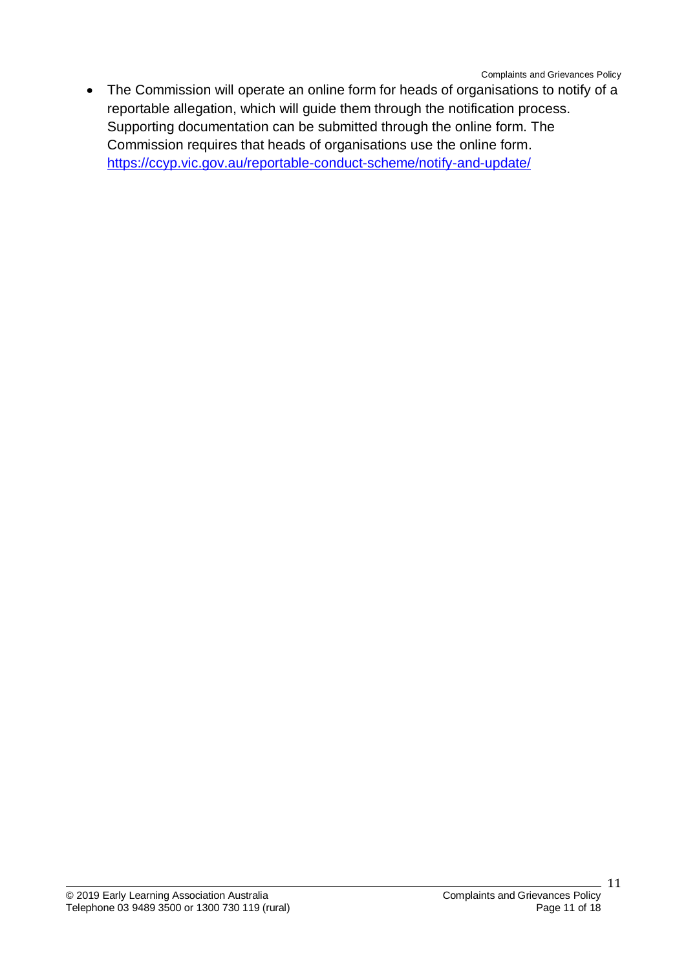The Commission will operate an online form for heads of organisations to notify of a reportable allegation, which will guide them through the notification process. Supporting documentation can be submitted through the online form. The Commission requires that heads of organisations use the online form. <https://ccyp.vic.gov.au/reportable-conduct-scheme/notify-and-update/>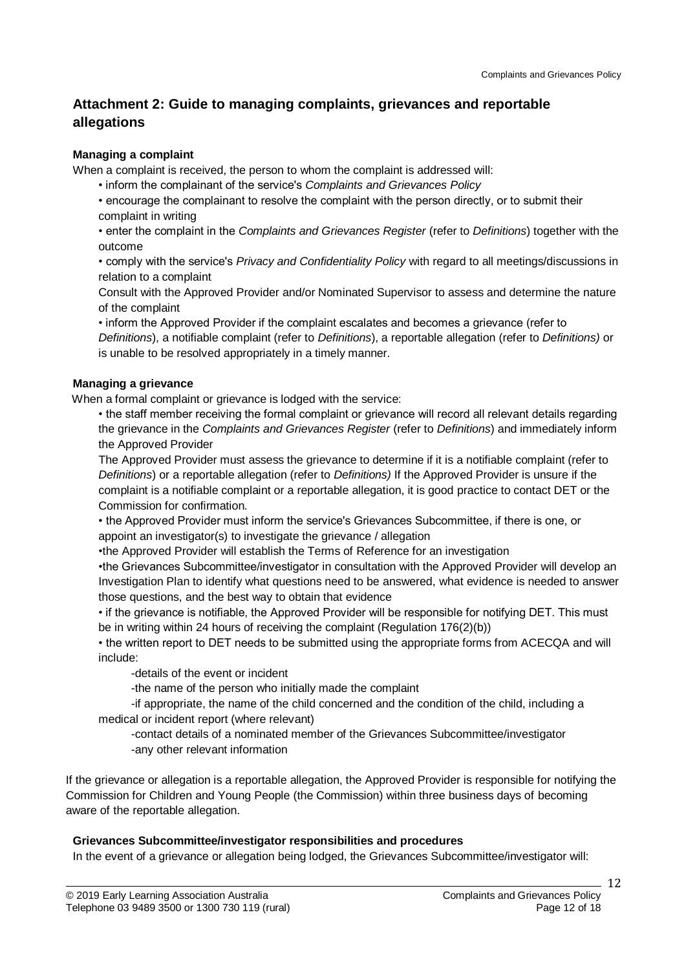## **Attachment 2: Guide to managing complaints, grievances and reportable allegations**

#### **Managing a complaint**

When a complaint is received, the person to whom the complaint is addressed will:

- inform the complainant of the service's *Complaints and Grievances Policy*
- encourage the complainant to resolve the complaint with the person directly, or to submit their complaint in writing
- enter the complaint in the *Complaints and Grievances Register* (refer to *Definitions*) together with the outcome
- comply with the service's *Privacy and Confidentiality Policy* with regard to all meetings/discussions in relation to a complaint
- Consult with the Approved Provider and/or Nominated Supervisor to assess and determine the nature of the complaint
- inform the Approved Provider if the complaint escalates and becomes a grievance (refer to *Definitions*), a notifiable complaint (refer to *Definitions*), a reportable allegation (refer to *Definitions)* or is unable to be resolved appropriately in a timely manner.

### **Managing a grievance**

When a formal complaint or grievance is lodged with the service:

• the staff member receiving the formal complaint or grievance will record all relevant details regarding the grievance in the *Complaints and Grievances Register* (refer to *Definitions*) and immediately inform the Approved Provider

The Approved Provider must assess the grievance to determine if it is a notifiable complaint (refer to *Definitions*) or a reportable allegation (refer to *Definitions)* If the Approved Provider is unsure if the complaint is a notifiable complaint or a reportable allegation, it is good practice to contact DET or the Commission for confirmation.

• the Approved Provider must inform the service's Grievances Subcommittee, if there is one, or appoint an investigator(s) to investigate the grievance / allegation

- •the Approved Provider will establish the Terms of Reference for an investigation
- •the Grievances Subcommittee/investigator in consultation with the Approved Provider will develop an Investigation Plan to identify what questions need to be answered, what evidence is needed to answer those questions, and the best way to obtain that evidence
- if the grievance is notifiable, the Approved Provider will be responsible for notifying DET. This must be in writing within 24 hours of receiving the complaint (Regulation 176(2)(b))

• the written report to DET needs to be submitted using the appropriate forms from ACECQA and will include:

-details of the event or incident

-the name of the person who initially made the complaint

-if appropriate, the name of the child concerned and the condition of the child, including a medical or incident report (where relevant)

-contact details of a nominated member of the Grievances Subcommittee/investigator -any other relevant information

If the grievance or allegation is a reportable allegation, the Approved Provider is responsible for notifying the Commission for Children and Young People (the Commission) within three business days of becoming aware of the reportable allegation.

#### **Grievances Subcommittee/investigator responsibilities and procedures**

In the event of a grievance or allegation being lodged, the Grievances Subcommittee/investigator will: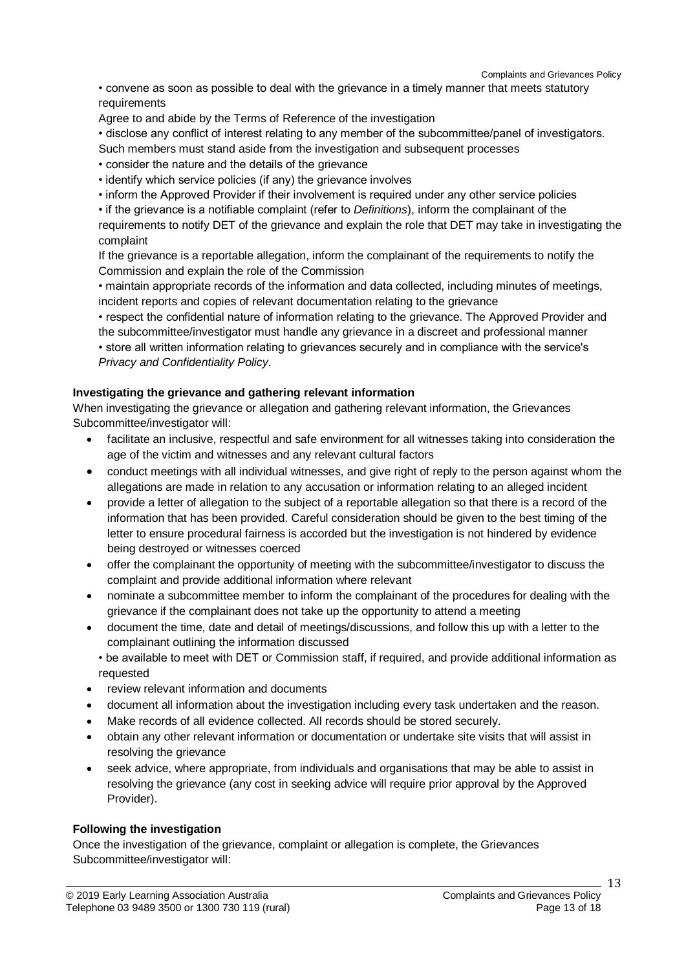• convene as soon as possible to deal with the grievance in a timely manner that meets statutory requirements

Agree to and abide by the Terms of Reference of the investigation

• disclose any conflict of interest relating to any member of the subcommittee/panel of investigators.

Such members must stand aside from the investigation and subsequent processes

- consider the nature and the details of the grievance
- identify which service policies (if any) the grievance involves
- inform the Approved Provider if their involvement is required under any other service policies

• if the grievance is a notifiable complaint (refer to *Definitions*), inform the complainant of the requirements to notify DET of the grievance and explain the role that DET may take in investigating the complaint

If the grievance is a reportable allegation, inform the complainant of the requirements to notify the Commission and explain the role of the Commission

• maintain appropriate records of the information and data collected, including minutes of meetings, incident reports and copies of relevant documentation relating to the grievance

• respect the confidential nature of information relating to the grievance. The Approved Provider and the subcommittee/investigator must handle any grievance in a discreet and professional manner • store all written information relating to grievances securely and in compliance with the service's *Privacy and Confidentiality Policy*.

### **Investigating the grievance and gathering relevant information**

When investigating the grievance or allegation and gathering relevant information, the Grievances Subcommittee/investigator will:

- facilitate an inclusive, respectful and safe environment for all witnesses taking into consideration the age of the victim and witnesses and any relevant cultural factors
- conduct meetings with all individual witnesses, and give right of reply to the person against whom the allegations are made in relation to any accusation or information relating to an alleged incident
- provide a letter of allegation to the subject of a reportable allegation so that there is a record of the information that has been provided. Careful consideration should be given to the best timing of the letter to ensure procedural fairness is accorded but the investigation is not hindered by evidence being destroyed or witnesses coerced
- offer the complainant the opportunity of meeting with the subcommittee/investigator to discuss the complaint and provide additional information where relevant
- nominate a subcommittee member to inform the complainant of the procedures for dealing with the grievance if the complainant does not take up the opportunity to attend a meeting
- document the time, date and detail of meetings/discussions, and follow this up with a letter to the complainant outlining the information discussed
	- be available to meet with DET or Commission staff, if required, and provide additional information as requested
- review relevant information and documents
- document all information about the investigation including every task undertaken and the reason.
- Make records of all evidence collected. All records should be stored securely.
- obtain any other relevant information or documentation or undertake site visits that will assist in resolving the grievance
- seek advice, where appropriate, from individuals and organisations that may be able to assist in resolving the grievance (any cost in seeking advice will require prior approval by the Approved Provider).

### **Following the investigation**

Once the investigation of the grievance, complaint or allegation is complete, the Grievances Subcommittee/investigator will: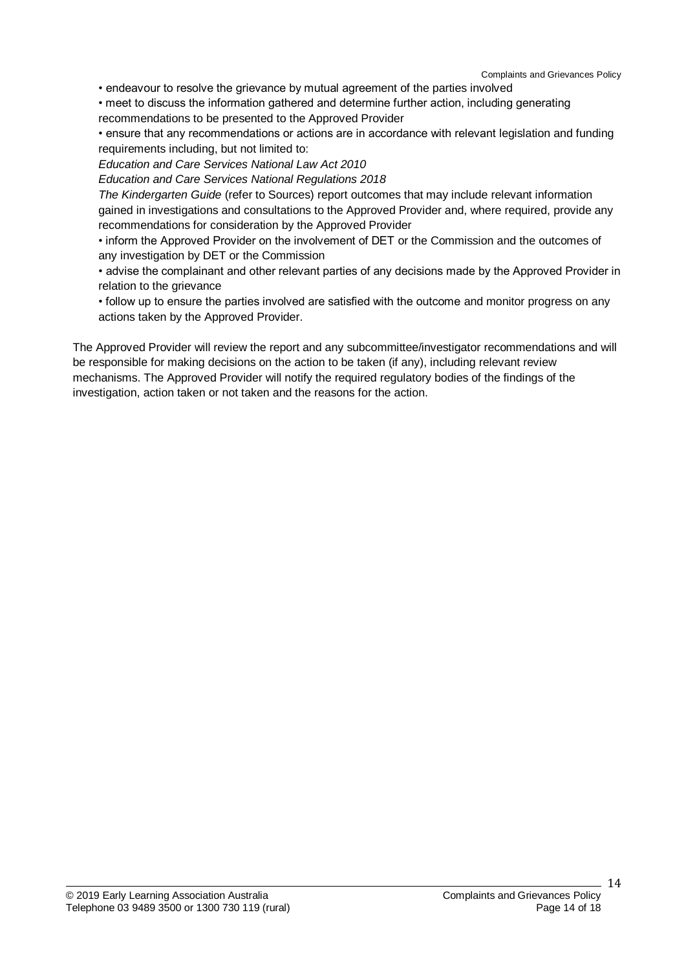• endeavour to resolve the grievance by mutual agreement of the parties involved

• meet to discuss the information gathered and determine further action, including generating

recommendations to be presented to the Approved Provider

• ensure that any recommendations or actions are in accordance with relevant legislation and funding requirements including, but not limited to:

*Education and Care Services National Law Act 2010*

*Education and Care Services National Regulations 2018*

*The Kindergarten Guide* (refer to Sources) report outcomes that may include relevant information gained in investigations and consultations to the Approved Provider and, where required, provide any recommendations for consideration by the Approved Provider

• inform the Approved Provider on the involvement of DET or the Commission and the outcomes of any investigation by DET or the Commission

• advise the complainant and other relevant parties of any decisions made by the Approved Provider in relation to the grievance

• follow up to ensure the parties involved are satisfied with the outcome and monitor progress on any actions taken by the Approved Provider.

The Approved Provider will review the report and any subcommittee/investigator recommendations and will be responsible for making decisions on the action to be taken (if any), including relevant review mechanisms. The Approved Provider will notify the required regulatory bodies of the findings of the investigation, action taken or not taken and the reasons for the action.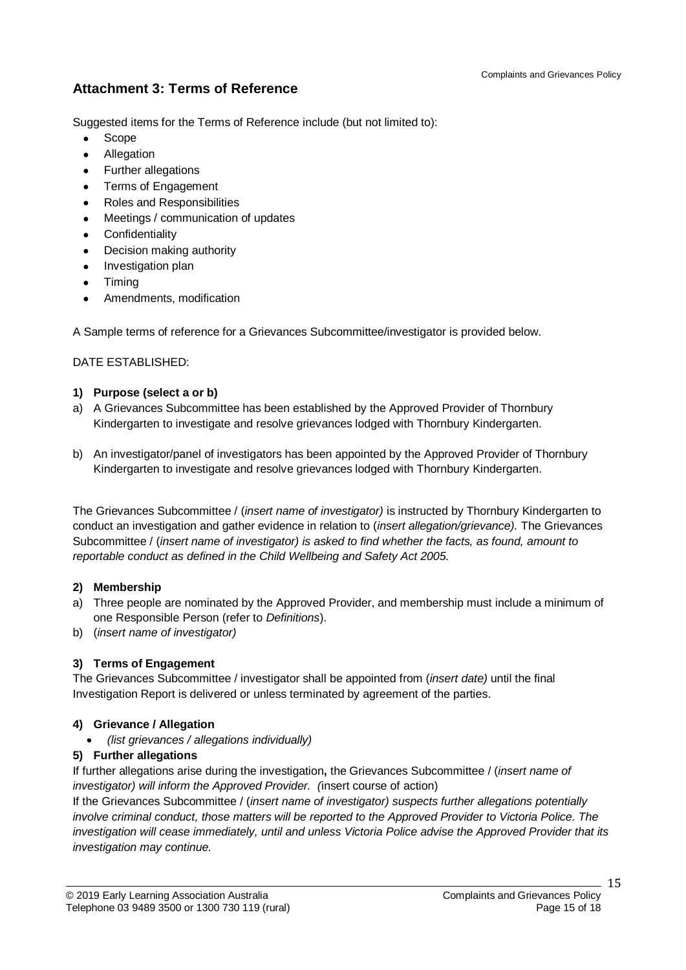# **Attachment 3: Terms of Reference**

Suggested items for the Terms of Reference include (but not limited to):

- Scope
- Allegation
- Further allegations
- Terms of Engagement
- Roles and Responsibilities
- Meetings / communication of updates
- Confidentiality
- Decision making authority
- Investigation plan
- Timing
- Amendments, modification

A Sample terms of reference for a Grievances Subcommittee/investigator is provided below.

DATE ESTABLISHED:

#### **1) Purpose (select a or b)**

- a) A Grievances Subcommittee has been established by the Approved Provider of Thornbury Kindergarten to investigate and resolve grievances lodged with Thornbury Kindergarten.
- b) An investigator/panel of investigators has been appointed by the Approved Provider of Thornbury Kindergarten to investigate and resolve grievances lodged with Thornbury Kindergarten.

The Grievances Subcommittee / (*insert name of investigator)* is instructed by Thornbury Kindergarten to conduct an investigation and gather evidence in relation to (*insert allegation/grievance).* The Grievances Subcommittee / (*insert name of investigator) is asked to find whether the facts, as found, amount to reportable conduct as defined in the Child Wellbeing and Safety Act 2005.*

### **2) Membership**

- a) Three people are nominated by the Approved Provider, and membership must include a minimum of one Responsible Person (refer to *Definitions*).
- b) (*insert name of investigator)*

### **3) Terms of Engagement**

The Grievances Subcommittee / investigator shall be appointed from (*insert date)* until the final Investigation Report is delivered or unless terminated by agreement of the parties.

### **4) Grievance / Allegation**

*(list grievances / allegations individually)*

### **5) Further allegations**

If further allegations arise during the investigation**,** the Grievances Subcommittee / (*insert name of investigator) will inform the Approved Provider. (*insert course of action)

If the Grievances Subcommittee / (*insert name of investigator) suspects further allegations potentially involve criminal conduct, those matters will be reported to the Approved Provider to Victoria Police. The investigation will cease immediately, until and unless Victoria Police advise the Approved Provider that its investigation may continue.*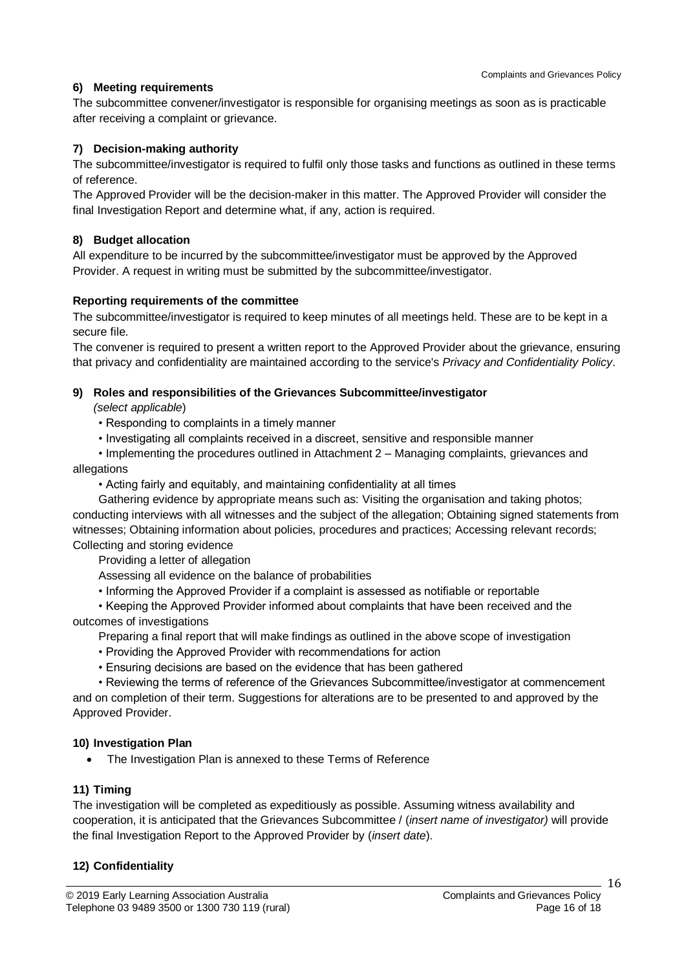### **6) Meeting requirements**

The subcommittee convener/investigator is responsible for organising meetings as soon as is practicable after receiving a complaint or grievance.

### **7) Decision-making authority**

The subcommittee/investigator is required to fulfil only those tasks and functions as outlined in these terms of reference.

The Approved Provider will be the decision-maker in this matter. The Approved Provider will consider the final Investigation Report and determine what, if any, action is required.

#### **8) Budget allocation**

All expenditure to be incurred by the subcommittee/investigator must be approved by the Approved Provider. A request in writing must be submitted by the subcommittee/investigator.

#### **Reporting requirements of the committee**

The subcommittee/investigator is required to keep minutes of all meetings held. These are to be kept in a secure file.

The convener is required to present a written report to the Approved Provider about the grievance, ensuring that privacy and confidentiality are maintained according to the service's *Privacy and Confidentiality Policy*.

#### **9) Roles and responsibilities of the Grievances Subcommittee/investigator**

*(select applicable*)

- Responding to complaints in a timely manner
- Investigating all complaints received in a discreet, sensitive and responsible manner

• Implementing the procedures outlined in Attachment 2 – Managing complaints, grievances and allegations

• Acting fairly and equitably, and maintaining confidentiality at all times

Gathering evidence by appropriate means such as: Visiting the organisation and taking photos; conducting interviews with all witnesses and the subject of the allegation; Obtaining signed statements from witnesses; Obtaining information about policies, procedures and practices; Accessing relevant records; Collecting and storing evidence

Providing a letter of allegation

Assessing all evidence on the balance of probabilities

• Informing the Approved Provider if a complaint is assessed as notifiable or reportable

• Keeping the Approved Provider informed about complaints that have been received and the outcomes of investigations

Preparing a final report that will make findings as outlined in the above scope of investigation

- Providing the Approved Provider with recommendations for action
- Ensuring decisions are based on the evidence that has been gathered
- Reviewing the terms of reference of the Grievances Subcommittee/investigator at commencement

and on completion of their term. Suggestions for alterations are to be presented to and approved by the Approved Provider.

### **10) Investigation Plan**

• The Investigation Plan is annexed to these Terms of Reference

### **11) Timing**

The investigation will be completed as expeditiously as possible. Assuming witness availability and cooperation, it is anticipated that the Grievances Subcommittee / (*insert name of investigator)* will provide the final Investigation Report to the Approved Provider by (*insert date*).

### **12) Confidentiality**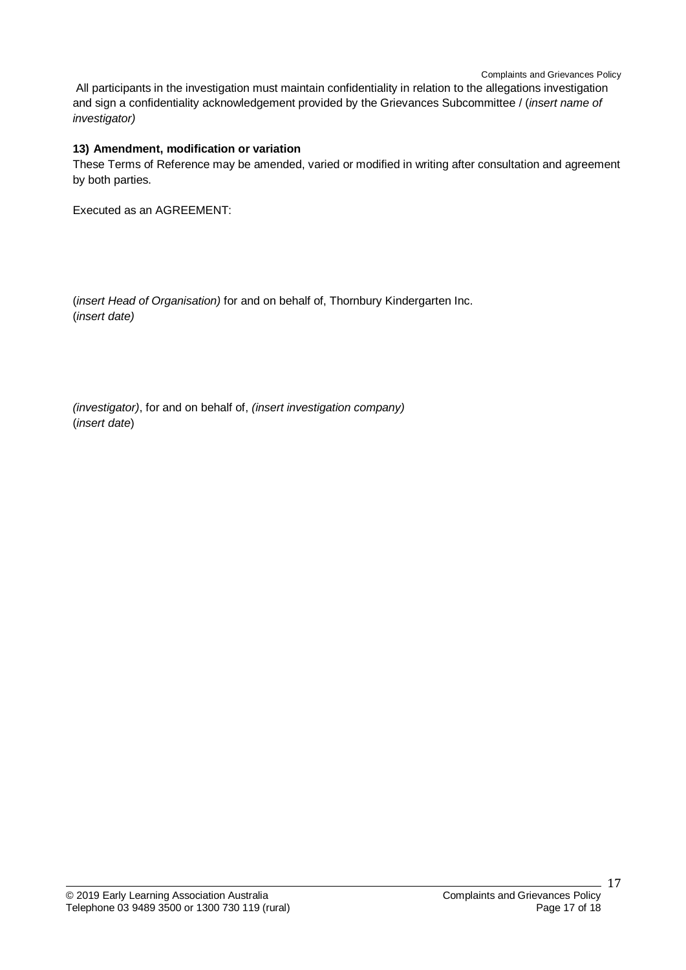All participants in the investigation must maintain confidentiality in relation to the allegations investigation and sign a confidentiality acknowledgement provided by the Grievances Subcommittee / (*insert name of investigator)*

### **13) Amendment, modification or variation**

These Terms of Reference may be amended, varied or modified in writing after consultation and agreement by both parties.

Executed as an AGREEMENT:

(*insert Head of Organisation)* for and on behalf of, Thornbury Kindergarten Inc. (*insert date)*

*(investigator)*, for and on behalf of, *(insert investigation company)* (*insert date*)